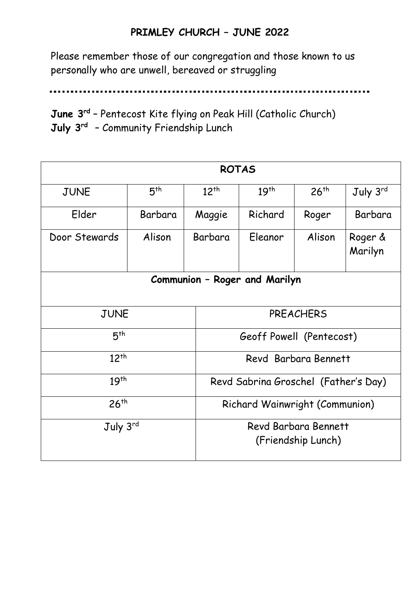## **PRIMLEY CHURCH – JUNE 2022**

Please remember those of our congregation and those known to us personally who are unwell, bereaved or struggling

\_\_\_\_\_\_\_\_\_\_\_\_\_\_\_\_\_\_\_\_\_\_\_\_ ......

**June 3rd** – Pentecost Kite flying on Peak Hill (Catholic Church) **July 3rd** – Community Friendship Lunch

| <b>ROTAS</b>                  |                 |                  |                                            |                  |                    |  |
|-------------------------------|-----------------|------------------|--------------------------------------------|------------------|--------------------|--|
| <b>JUNE</b>                   | 5 <sup>th</sup> | 12 <sup>th</sup> | 19 <sup>th</sup>                           | 26 <sup>th</sup> | July 3rd           |  |
| Elder                         | Barbara         | Maggie           | Richard                                    | Roger            | Barbara            |  |
| Door Stewards                 | Alison          | Barbara          | Eleanor                                    | Alison           | Roger &<br>Marilyn |  |
| Communion - Roger and Marilyn |                 |                  |                                            |                  |                    |  |
| <b>JUNE</b>                   |                 |                  | <b>PREACHERS</b>                           |                  |                    |  |
| 5 <sup>th</sup>               |                 |                  | Geoff Powell (Pentecost)                   |                  |                    |  |
| $12^{th}$                     |                 |                  | Revd Barbara Bennett                       |                  |                    |  |
| 19 <sup>th</sup>              |                 |                  | Revd Sabrina Groschel (Father's Day)       |                  |                    |  |
| 26 <sup>th</sup>              |                 |                  | Richard Wainwright (Communion)             |                  |                    |  |
| July 3rd                      |                 |                  | Revd Barbara Bennett<br>(Friendship Lunch) |                  |                    |  |